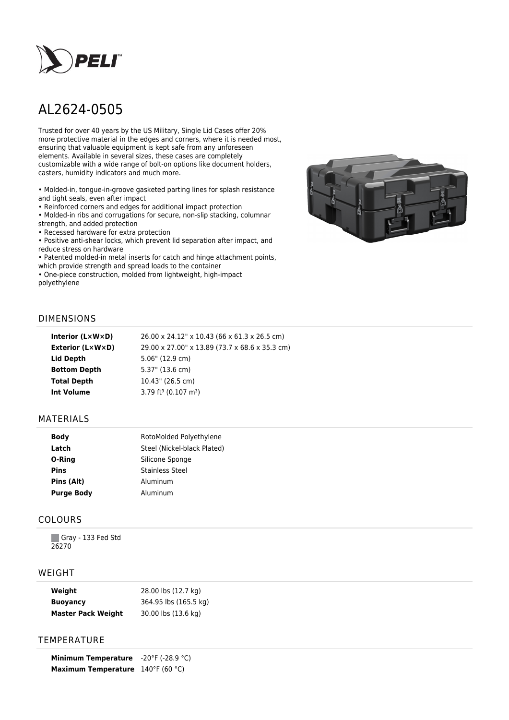

# AL2624-0505

Trusted for over 40 years by the US Military, Single Lid Cases offer 20% more protective material in the edges and corners, where it is needed most, ensuring that valuable equipment is kept safe from any unforeseen elements. Available in several sizes, these cases are completely customizable with a wide range of bolt-on options like document holders, casters, humidity indicators and much more.

• Molded-in, tongue-in-groove gasketed parting lines for splash resistance and tight seals, even after impact

• Reinforced corners and edges for additional impact protection

• Molded-in ribs and corrugations for secure, non-slip stacking, columnar strength, and added protection

• Recessed hardware for extra protection

• Positive anti-shear locks, which prevent lid separation after impact, and reduce stress on hardware

• Patented molded-in metal inserts for catch and hinge attachment points, which provide strength and spread loads to the container

• One-piece construction, molded from lightweight, high-impact polyethylene



## DIMENSIONS

| Interior (LxWxD)    | 26.00 x 24.12" x 10.43 (66 x 61.3 x 26.5 cm)   |
|---------------------|------------------------------------------------|
| Exterior (L×W×D)    | 29.00 x 27.00" x 13.89 (73.7 x 68.6 x 35.3 cm) |
| Lid Depth           | 5.06" (12.9 cm)                                |
| <b>Bottom Depth</b> | 5.37" (13.6 cm)                                |
| <b>Total Depth</b>  | 10.43" (26.5 cm)                               |
| <b>Int Volume</b>   | $3.79$ ft <sup>3</sup> (0.107 m <sup>3</sup> ) |
|                     |                                                |

### MATERIALS

| <b>Body</b>       | RotoMolded Polyethylene     |  |
|-------------------|-----------------------------|--|
| Latch             | Steel (Nickel-black Plated) |  |
| O-Ring            | Silicone Sponge             |  |
| <b>Pins</b>       | <b>Stainless Steel</b>      |  |
| Pins (Alt)        | Aluminum                    |  |
| <b>Purge Body</b> | Aluminum                    |  |

## COLOURS

Gray - 133 Fed Std 26270

## WEIGHT

| Weight                    | 28.00 lbs (12.7 kg)   |
|---------------------------|-----------------------|
| <b>Buoyancy</b>           | 364.95 lbs (165.5 kg) |
| <b>Master Pack Weight</b> | 30.00 lbs (13.6 kg)   |

## **TEMPERATURE**

**Minimum Temperature** -20°F (-28.9 °C) **Maximum Temperature** 140°F (60 °C)